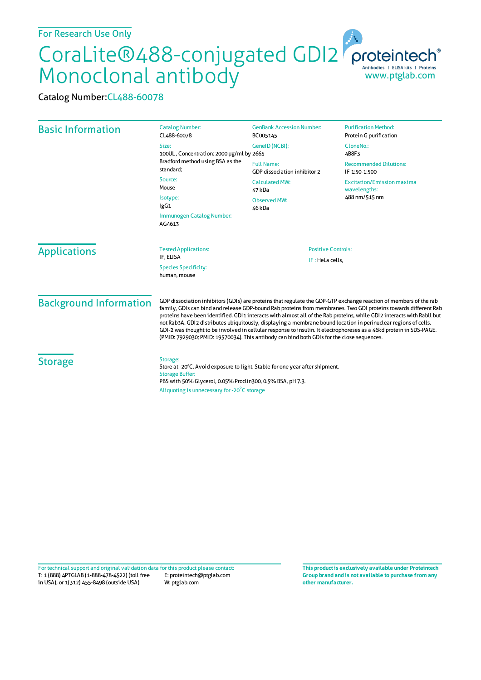## CoraLite®488-conjugated GDI2 Monoclonal antibody www.ptglab.com

Catalog Number:CL488-60078

| <b>Basic Information</b>      | <b>Catalog Number:</b><br>CL488-60078<br>Size:<br>100UL, Concentration: 2000 µg/ml by 2665<br>Bradford method using BSA as the<br>standard;<br>Source:<br>Mouse<br>Isotype:<br>lgG1                                                                                                                                                                                                                                                                                                                                                                                                                                                                                                                    | <b>GenBank Accession Number:</b><br>BC005145<br>GeneID (NCBI):<br><b>Full Name:</b><br>GDP dissociation inhibitor 2<br><b>Calculated MW:</b><br>47 kDa<br><b>Observed MW:</b> | <b>Purification Method:</b><br>Protein G purification<br>CloneNo.:<br>4B8F3<br><b>Recommended Dilutions:</b><br>IF 1:50-1:500<br><b>Excitation/Emission maxima</b><br>wavelengths:<br>488 nm/515 nm |
|-------------------------------|--------------------------------------------------------------------------------------------------------------------------------------------------------------------------------------------------------------------------------------------------------------------------------------------------------------------------------------------------------------------------------------------------------------------------------------------------------------------------------------------------------------------------------------------------------------------------------------------------------------------------------------------------------------------------------------------------------|-------------------------------------------------------------------------------------------------------------------------------------------------------------------------------|-----------------------------------------------------------------------------------------------------------------------------------------------------------------------------------------------------|
|                               | Immunogen Catalog Number:<br>AG4613                                                                                                                                                                                                                                                                                                                                                                                                                                                                                                                                                                                                                                                                    | 46 kDa                                                                                                                                                                        |                                                                                                                                                                                                     |
| <b>Applications</b>           | <b>Tested Applications:</b><br>IF. ELISA<br><b>Species Specificity:</b><br>human, mouse                                                                                                                                                                                                                                                                                                                                                                                                                                                                                                                                                                                                                | <b>Positive Controls:</b><br>IF: HeLa cells,                                                                                                                                  |                                                                                                                                                                                                     |
| <b>Background Information</b> | GDP dissociation inhibitors (GDIs) are proteins that regulate the GDP-GTP exchange reaction of members of the rab<br>family, GDIs can bind and release GDP-bound Rab proteins from membranes. Two GDI proteins towards different Rab<br>proteins have been identified. GDI1 interacts with almost all of the Rab proteins, while GDI2 interacts with Rabll but<br>not Rab3A. GDI2 distributes ubiquitously, displaying a membrane bound location in perinuclear regions of cells.<br>GDI-2 was thought to be involved in cellular response to insulin. It electrophoreses as a 46kd protein in SDS-PAGE.<br>(PMID: 7929030; PMID: 19570034). This antibody can bind both GDIs for the close sequences. |                                                                                                                                                                               |                                                                                                                                                                                                     |
| <b>Storage</b>                | Storage:<br>Store at -20°C. Avoid exposure to light. Stable for one year after shipment.<br><b>Storage Buffer:</b><br>PBS with 50% Glycerol, 0.05% Proclin300, 0.5% BSA, pH 7.3.<br>Aliquoting is unnecessary for -20°C storage                                                                                                                                                                                                                                                                                                                                                                                                                                                                        |                                                                                                                                                                               |                                                                                                                                                                                                     |

T: 1 (888) 4PTGLAB (1-888-478-4522) (toll free in USA), or 1(312) 455-8498 (outside USA) E: proteintech@ptglab.com W: ptglab.com Fortechnical support and original validation data forthis product please contact: **This productis exclusively available under Proteintech**

**Group brand and is not available to purchase from any other manufacturer.**